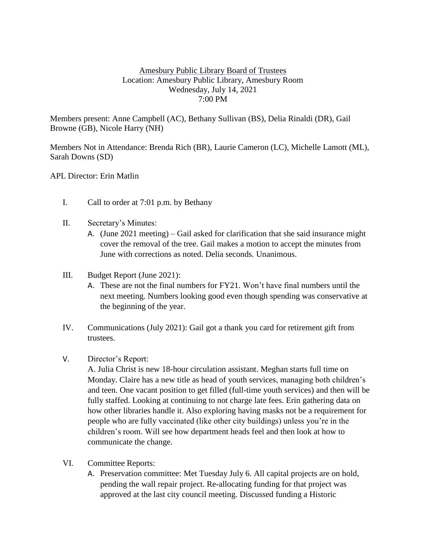## Amesbury Public Library Board of Trustees Location: Amesbury Public Library, Amesbury Room Wednesday, July 14, 2021 7:00 PM

Members present: Anne Campbell (AC), Bethany Sullivan (BS), Delia Rinaldi (DR), Gail Browne (GB), Nicole Harry (NH)

Members Not in Attendance: Brenda Rich (BR), Laurie Cameron (LC), Michelle Lamott (ML), Sarah Downs (SD)

APL Director: Erin Matlin

- I. Call to order at 7:01 p.m. by Bethany
- II. Secretary's Minutes:
	- A. (June 2021 meeting) Gail asked for clarification that she said insurance might cover the removal of the tree. Gail makes a motion to accept the minutes from June with corrections as noted. Delia seconds. Unanimous.
- III. Budget Report (June 2021):
	- A. These are not the final numbers for FY21. Won't have final numbers until the next meeting. Numbers looking good even though spending was conservative at the beginning of the year.
- IV. Communications (July 2021): Gail got a thank you card for retirement gift from trustees.
- V. Director's Report:

A. Julia Christ is new 18-hour circulation assistant. Meghan starts full time on Monday. Claire has a new title as head of youth services, managing both children's and teen. One vacant position to get filled (full-time youth services) and then will be fully staffed. Looking at continuing to not charge late fees. Erin gathering data on how other libraries handle it. Also exploring having masks not be a requirement for people who are fully vaccinated (like other city buildings) unless you're in the children's room. Will see how department heads feel and then look at how to communicate the change.

- VI. Committee Reports:
	- A. Preservation committee: Met Tuesday July 6. All capital projects are on hold, pending the wall repair project. Re-allocating funding for that project was approved at the last city council meeting. Discussed funding a Historic